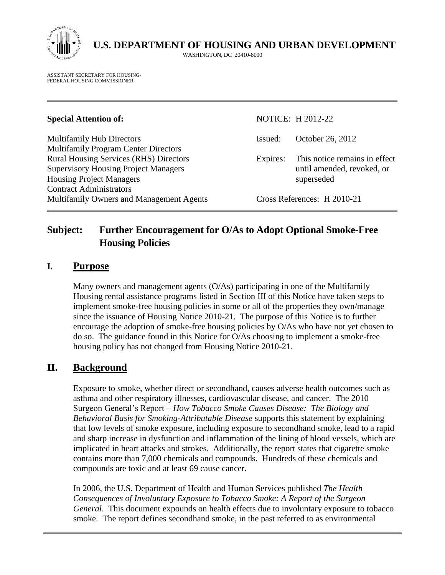

 **U.S. DEPARTMENT OF HOUSING AND URBAN DEVELOPMENT**

WASHINGTON, DC 20410-8000

ASSISTANT SECRETARY FOR HOUSING-FEDERAL HOUSING COMMISSIONER

#### **Special Attention of:** NOTICE: H 2012-22

Multifamily Hub Directors Issued: October 26, 2012 Multifamily Program Center Directors Rural Housing Services (RHS) Directors Expires: This notice remains in effect Supervisory Housing Project Managers until amended, revoked, or Housing Project Managers superseded Contract Administrators Multifamily Owners and Management Agents Cross References: H 2010-21

# **Subject: Further Encouragement for O/As to Adopt Optional Smoke-Free Housing Policies**

#### **I. Purpose**

Many owners and management agents (O/As) participating in one of the Multifamily Housing rental assistance programs listed in Section III of this Notice have taken steps to implement smoke-free housing policies in some or all of the properties they own/manage since the issuance of Housing Notice 2010-21. The purpose of this Notice is to further encourage the adoption of smoke-free housing policies by O/As who have not yet chosen to do so. The guidance found in this Notice for O/As choosing to implement a smoke-free housing policy has not changed from Housing Notice 2010-21.

## **II. Background**

Exposure to smoke, whether direct or secondhand, causes adverse health outcomes such as asthma and other respiratory illnesses, cardiovascular disease, and cancer. The 2010 Surgeon General's Report – *How Tobacco Smoke Causes Disease: The Biology and Behavioral Basis for Smoking-Attributable Disease* supports this statement by explaining that low levels of smoke exposure, including exposure to secondhand smoke, lead to a rapid and sharp increase in dysfunction and inflammation of the lining of blood vessels, which are implicated in heart attacks and strokes. Additionally, the report states that cigarette smoke contains more than 7,000 chemicals and compounds. Hundreds of these chemicals and compounds are toxic and at least 69 cause cancer.

In 2006, the U.S. Department of Health and Human Services published *The Health Consequences of Involuntary Exposure to Tobacco Smoke: A Report of the Surgeon General*. This document expounds on health effects due to involuntary exposure to tobacco smoke. The report defines secondhand smoke, in the past referred to as environmental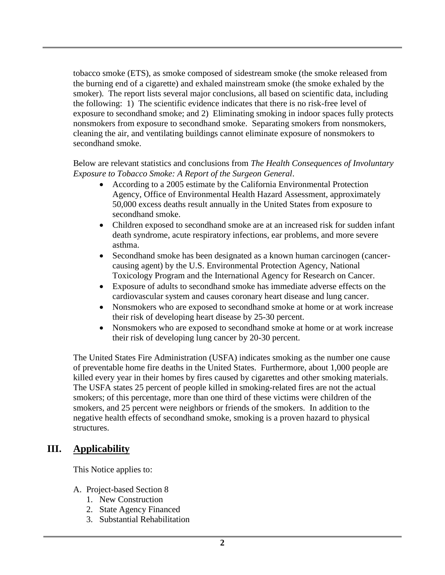tobacco smoke (ETS), as smoke composed of sidestream smoke (the smoke released from the burning end of a cigarette) and exhaled mainstream smoke (the smoke exhaled by the smoker). The report lists several major conclusions, all based on scientific data, including the following: 1) The scientific evidence indicates that there is no risk-free level of exposure to secondhand smoke; and 2) Eliminating smoking in indoor spaces fully protects nonsmokers from exposure to secondhand smoke. Separating smokers from nonsmokers, cleaning the air, and ventilating buildings cannot eliminate exposure of nonsmokers to secondhand smoke.

Below are relevant statistics and conclusions from *The Health Consequences of Involuntary Exposure to Tobacco Smoke: A Report of the Surgeon General*.

- According to a 2005 estimate by the California Environmental Protection Agency, Office of Environmental Health Hazard Assessment, approximately 50,000 excess deaths result annually in the United States from exposure to secondhand smoke.
- Children exposed to secondhand smoke are at an increased risk for sudden infant death syndrome, acute respiratory infections, ear problems, and more severe asthma.
- Secondhand smoke has been designated as a known human carcinogen (cancercausing agent) by the U.S. Environmental Protection Agency, National Toxicology Program and the International Agency for Research on Cancer.
- Exposure of adults to secondhand smoke has immediate adverse effects on the cardiovascular system and causes coronary heart disease and lung cancer.
- Nonsmokers who are exposed to secondhand smoke at home or at work increase their risk of developing heart disease by 25-30 percent.
- Nonsmokers who are exposed to secondhand smoke at home or at work increase their risk of developing lung cancer by 20-30 percent.

The United States Fire Administration (USFA) indicates smoking as the number one cause of preventable home fire deaths in the United States. Furthermore, about 1,000 people are killed every year in their homes by fires caused by cigarettes and other smoking materials. The USFA states 25 percent of people killed in smoking-related fires are not the actual smokers; of this percentage, more than one third of these victims were children of the smokers, and 25 percent were neighbors or friends of the smokers. In addition to the negative health effects of secondhand smoke, smoking is a proven hazard to physical structures.

## **III. Applicability**

This Notice applies to:

- A. Project-based Section 8
	- 1. New Construction
	- 2. State Agency Financed
	- 3. Substantial Rehabilitation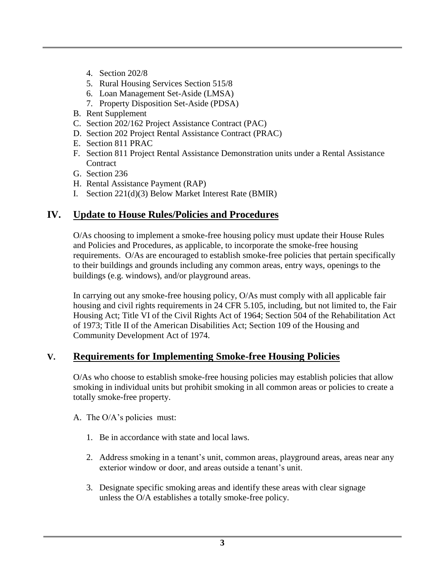- 4. Section 202/8
- 5. Rural Housing Services Section 515/8
- 6. Loan Management Set-Aside (LMSA)
- 7. Property Disposition Set-Aside (PDSA)
- B. Rent Supplement
- C. Section 202/162 Project Assistance Contract (PAC)
- D. Section 202 Project Rental Assistance Contract (PRAC)
- E. Section 811 PRAC
- F. Section 811 Project Rental Assistance Demonstration units under a Rental Assistance **Contract**
- G. Section 236
- H. Rental Assistance Payment (RAP)
- I. Section 221(d)(3) Below Market Interest Rate (BMIR)

## **IV. Update to House Rules/Policies and Procedures**

O/As choosing to implement a smoke-free housing policy must update their House Rules and Policies and Procedures, as applicable, to incorporate the smoke-free housing requirements. O/As are encouraged to establish smoke-free policies that pertain specifically to their buildings and grounds including any common areas, entry ways, openings to the buildings (e.g. windows), and/or playground areas.

In carrying out any smoke-free housing policy, O/As must comply with all applicable fair housing and civil rights requirements in 24 CFR 5.105, including, but not limited to, the Fair Housing Act; Title VI of the Civil Rights Act of 1964; Section 504 of the Rehabilitation Act of 1973; Title II of the American Disabilities Act; Section 109 of the Housing and Community Development Act of 1974.

## **V. Requirements for Implementing Smoke-free Housing Policies**

O/As who choose to establish smoke-free housing policies may establish policies that allow smoking in individual units but prohibit smoking in all common areas or policies to create a totally smoke-free property.

- A. The O/A's policies must:
	- 1. Be in accordance with state and local laws.
	- 2. Address smoking in a tenant's unit, common areas, playground areas, areas near any exterior window or door, and areas outside a tenant's unit.
	- 3. Designate specific smoking areas and identify these areas with clear signage unless the O/A establishes a totally smoke-free policy.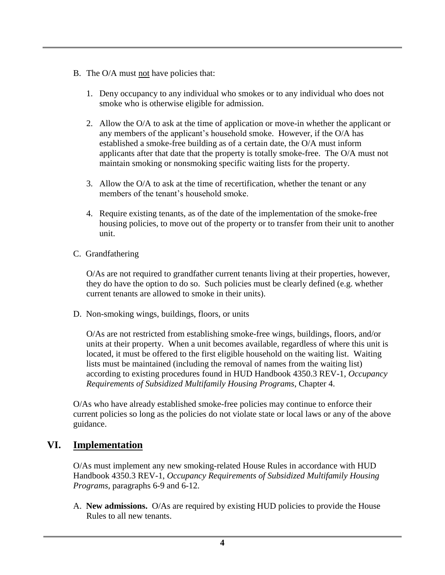- B. The O/A must not have policies that:
	- 1. Deny occupancy to any individual who smokes or to any individual who does not smoke who is otherwise eligible for admission.
	- 2. Allow the O/A to ask at the time of application or move-in whether the applicant or any members of the applicant's household smoke. However, if the O/A has established a smoke-free building as of a certain date, the O/A must inform applicants after that date that the property is totally smoke-free. The O/A must not maintain smoking or nonsmoking specific waiting lists for the property.
	- 3. Allow the O/A to ask at the time of recertification, whether the tenant or any members of the tenant's household smoke.
	- 4. Require existing tenants, as of the date of the implementation of the smoke-free housing policies, to move out of the property or to transfer from their unit to another unit.
- C. Grandfathering

O/As are not required to grandfather current tenants living at their properties, however, they do have the option to do so. Such policies must be clearly defined (e.g. whether current tenants are allowed to smoke in their units).

D. Non-smoking wings, buildings, floors, or units

O/As are not restricted from establishing smoke-free wings, buildings, floors, and/or units at their property. When a unit becomes available, regardless of where this unit is located, it must be offered to the first eligible household on the waiting list. Waiting lists must be maintained (including the removal of names from the waiting list) according to existing procedures found in HUD Handbook 4350.3 REV-1, *Occupancy Requirements of Subsidized Multifamily Housing Programs*, Chapter 4.

O/As who have already established smoke-free policies may continue to enforce their current policies so long as the policies do not violate state or local laws or any of the above guidance.

## **VI. Implementation**

O/As must implement any new smoking-related House Rules in accordance with HUD Handbook 4350.3 REV-1, *Occupancy Requirements of Subsidized Multifamily Housing Programs,* paragraphs 6-9 and 6-12.

A. **New admissions.** O/As are required by existing HUD policies to provide the House Rules to all new tenants.